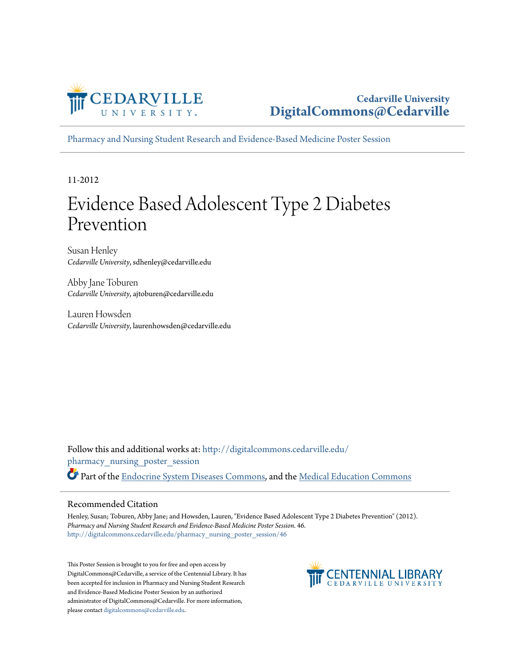

[Pharmacy and Nursing Student Research and Evidence-Based Medicine Poster Session](http://digitalcommons.cedarville.edu/pharmacy_nursing_poster_session?utm_source=digitalcommons.cedarville.edu%2Fpharmacy_nursing_poster_session%2F46&utm_medium=PDF&utm_campaign=PDFCoverPages)

11-2012

#### Evidence Based Adolescent Type 2 Diabetes Prevention

Susan Henley *Cedarville University*, sdhenley@cedarville.edu

Abby Jane Toburen *Cedarville University*, ajtoburen@cedarville.edu

Lauren Howsden *Cedarville University*, laurenhowsden@cedarville.edu

Follow this and additional works at: [http://digitalcommons.cedarville.edu/](http://digitalcommons.cedarville.edu/pharmacy_nursing_poster_session?utm_source=digitalcommons.cedarville.edu%2Fpharmacy_nursing_poster_session%2F46&utm_medium=PDF&utm_campaign=PDFCoverPages) [pharmacy\\_nursing\\_poster\\_session](http://digitalcommons.cedarville.edu/pharmacy_nursing_poster_session?utm_source=digitalcommons.cedarville.edu%2Fpharmacy_nursing_poster_session%2F46&utm_medium=PDF&utm_campaign=PDFCoverPages) Part of the [Endocrine System Diseases Commons](http://network.bepress.com/hgg/discipline/969?utm_source=digitalcommons.cedarville.edu%2Fpharmacy_nursing_poster_session%2F46&utm_medium=PDF&utm_campaign=PDFCoverPages), and the [Medical Education Commons](http://network.bepress.com/hgg/discipline/1125?utm_source=digitalcommons.cedarville.edu%2Fpharmacy_nursing_poster_session%2F46&utm_medium=PDF&utm_campaign=PDFCoverPages)

#### Recommended Citation

Henley, Susan; Toburen, Abby Jane; and Howsden, Lauren, "Evidence Based Adolescent Type 2 Diabetes Prevention" (2012). *Pharmacy and Nursing Student Research and Evidence-Based Medicine Poster Session*. 46. [http://digitalcommons.cedarville.edu/pharmacy\\_nursing\\_poster\\_session/46](http://digitalcommons.cedarville.edu/pharmacy_nursing_poster_session/46?utm_source=digitalcommons.cedarville.edu%2Fpharmacy_nursing_poster_session%2F46&utm_medium=PDF&utm_campaign=PDFCoverPages)

This Poster Session is brought to you for free and open access by DigitalCommons@Cedarville, a service of the Centennial Library. It has been accepted for inclusion in Pharmacy and Nursing Student Research and Evidence-Based Medicine Poster Session by an authorized administrator of DigitalCommons@Cedarville. For more information, please contact [digitalcommons@cedarville.edu.](mailto:digitalcommons@cedarville.edu)